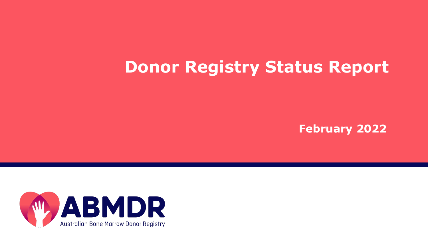# **Donor Registry Status Report**

**February 2022**

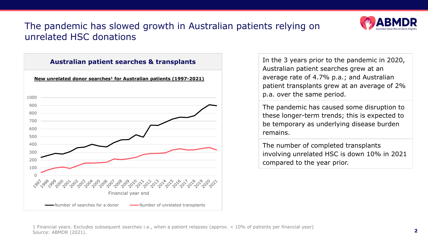

#### The pandemic has slowed growth in Australian patients relying on unrelated HSC donations



In the 3 years prior to the pandemic in 2020, Australian patient searches grew at an average rate of 4.7% p.a.; and Australian patient transplants grew at an average of 2% p.a. over the same period.

The pandemic has caused some disruption to these longer-term trends; this is expected to be temporary as underlying disease burden remains.

The number of completed transplants involving unrelated HSC is down 10% in 2021 compared to the year prior.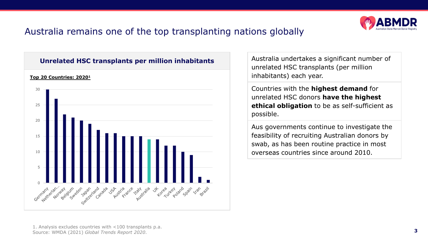

#### Australia remains one of the top transplanting nations globally



Australia undertakes a significant number of unrelated HSC transplants (per million inhabitants) each year.

Countries with the **highest demand** for unrelated HSC donors **have the highest ethical obligation** to be as self-sufficient as possible.

Aus governments continue to investigate the feasibility of recruiting Australian donors by swab, as has been routine practice in most overseas countries since around 2010.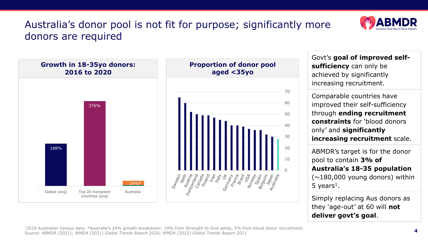### Australia's donor pool is not fit for purpose; significantly more donors are required





Govt's **goal of improved selfsufficiency** can only be achieved by significantly increasing recruitment.

Comparable countries have improved their self-sufficiency through **ending recruitment constraints** for 'blood donors only' and **significantly increasing recruitment** scale.

ABMDR's target is for the donor pool to contain **3% of Australia's 18-35 population**   $(\sim 180,000$  young donors) within 5 years<sup>1</sup>.

Simply replacing Aus donors as they 'age-out' at 60 will **not deliver govt's goal**.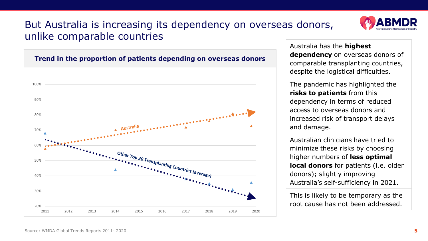#### But Australia is increasing its dependency on overseas donors, unlike comparable countries





Australia has the **highest dependency** on overseas donors of comparable transplanting countries, despite the logistical difficulties.

The pandemic has highlighted the **risks to patients** from this dependency in terms of reduced access to overseas donors and increased risk of transport delays and damage.

Australian clinicians have tried to minimize these risks by choosing higher numbers of **less optimal local donors** for patients (i.e. older donors); slightly improving Australia's self-sufficiency in 2021.

This is likely to be temporary as the root cause has not been addressed.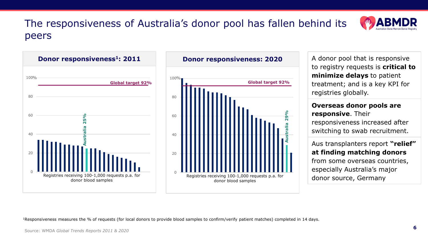### The responsiveness of Australia's donor pool has fallen behind its peers



A donor pool that is responsive to registry requests is **critical to minimize delays** to patient

**Australia 29%**

**29%** 

treatment; and is a key KPI for registries globally.

#### **Overseas donor pools are responsive**. Their responsiveness increased after switching to swab recruitment.

Aus transplanters report **"relief" at finding matching donors** from some overseas countries, especially Australia's major donor source, Germany

<sup>1</sup>Responsiveness measures the % of requests (for local donors to provide blood samples to confirm/verify patient matches) completed in 14 days.